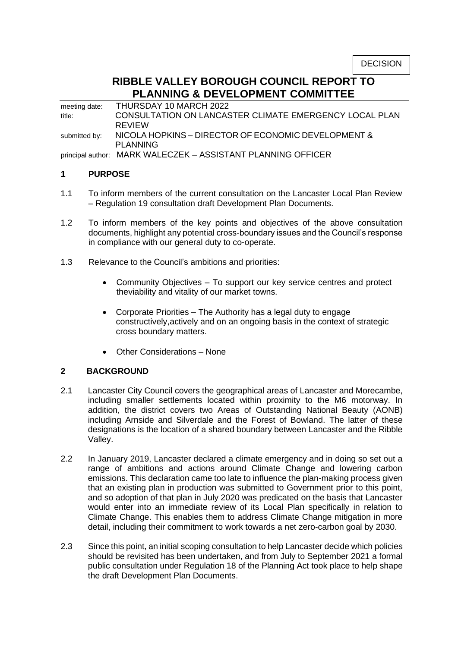# **RIBBLE VALLEY BOROUGH COUNCIL REPORT TO PLANNING & DEVELOPMENT COMMITTEE**

meeting date: THURSDAY 10 MARCH 2022 title: CONSULTATION ON LANCASTER CLIMATE EMERGENCY LOCAL PLAN REVIEW submitted by: NICOLA HOPKINS - DIRECTOR OF ECONOMIC DEVELOPMENT & PLANNING principal author: MARK WALECZEK – ASSISTANT PLANNING OFFICER

#### **1 PURPOSE**

- 1.1 To inform members of the current consultation on the Lancaster Local Plan Review – Regulation 19 consultation draft Development Plan Documents.
- 1.2 To inform members of the key points and objectives of the above consultation documents, highlight any potential cross-boundary issues and the Council's response in compliance with our general duty to co-operate.
- 1.3 Relevance to the Council's ambitions and priorities:
	- Community Objectives To support our key service centres and protect theviability and vitality of our market towns.
	- Corporate Priorities The Authority has a legal duty to engage constructively,actively and on an ongoing basis in the context of strategic cross boundary matters.
	- Other Considerations None

## **2 BACKGROUND**

- 2.1 Lancaster City Council covers the geographical areas of Lancaster and Morecambe, including smaller settlements located within proximity to the M6 motorway. In addition, the district covers two Areas of Outstanding National Beauty (AONB) including Arnside and Silverdale and the Forest of Bowland. The latter of these designations is the location of a shared boundary between Lancaster and the Ribble Valley.
- 2.2 In January 2019, Lancaster declared a climate emergency and in doing so set out a range of ambitions and actions around Climate Change and lowering carbon emissions. This declaration came too late to influence the plan-making process given that an existing plan in production was submitted to Government prior to this point, and so adoption of that plan in July 2020 was predicated on the basis that Lancaster would enter into an immediate review of its Local Plan specifically in relation to Climate Change. This enables them to address Climate Change mitigation in more detail, including their commitment to work towards a net zero-carbon goal by 2030.
- 2.3 Since this point, an initial scoping consultation to help Lancaster decide which policies should be revisited has been undertaken, and from July to September 2021 a formal public consultation under Regulation 18 of the Planning Act took place to help shape the draft Development Plan Documents.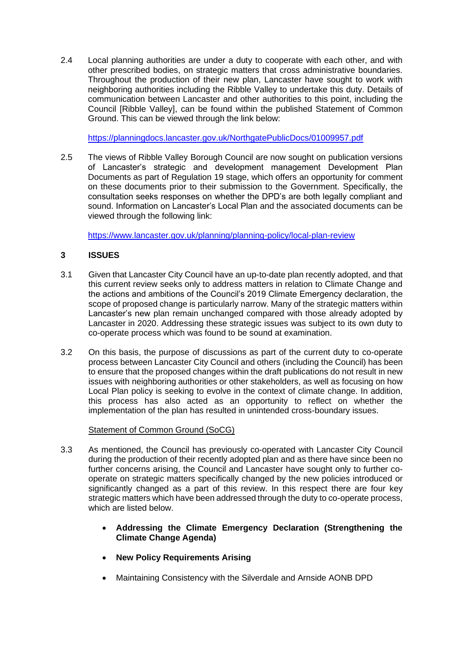2.4 Local planning authorities are under a duty to cooperate with each other, and with other prescribed bodies, on strategic matters that cross administrative boundaries. Throughout the production of their new plan, Lancaster have sought to work with neighboring authorities including the Ribble Valley to undertake this duty. Details of communication between Lancaster and other authorities to this point, including the Council [Ribble Valley], can be found within the published Statement of Common Ground. This can be viewed through the link below:

<https://planningdocs.lancaster.gov.uk/NorthgatePublicDocs/01009957.pdf>

2.5 The views of Ribble Valley Borough Council are now sought on publication versions of Lancaster's strategic and development management Development Plan Documents as part of Regulation 19 stage, which offers an opportunity for comment on these documents prior to their submission to the Government. Specifically, the consultation seeks responses on whether the DPD's are both legally compliant and sound. Information on Lancaster's Local Plan and the associated documents can be viewed through the following link:

<https://www.lancaster.gov.uk/planning/planning-policy/local-plan-review>

# **3 ISSUES**

- 3.1 Given that Lancaster City Council have an up-to-date plan recently adopted, and that this current review seeks only to address matters in relation to Climate Change and the actions and ambitions of the Council's 2019 Climate Emergency declaration, the scope of proposed change is particularly narrow. Many of the strategic matters within Lancaster's new plan remain unchanged compared with those already adopted by Lancaster in 2020. Addressing these strategic issues was subject to its own duty to co-operate process which was found to be sound at examination.
- 3.2 On this basis, the purpose of discussions as part of the current duty to co-operate process between Lancaster City Council and others (including the Council) has been to ensure that the proposed changes within the draft publications do not result in new issues with neighboring authorities or other stakeholders, as well as focusing on how Local Plan policy is seeking to evolve in the context of climate change. In addition, this process has also acted as an opportunity to reflect on whether the implementation of the plan has resulted in unintended cross-boundary issues.

## Statement of Common Ground (SoCG)

- 3.3 As mentioned, the Council has previously co-operated with Lancaster City Council during the production of their recently adopted plan and as there have since been no further concerns arising, the Council and Lancaster have sought only to further cooperate on strategic matters specifically changed by the new policies introduced or significantly changed as a part of this review. In this respect there are four key strategic matters which have been addressed through the duty to co-operate process, which are listed below.
	- **Addressing the Climate Emergency Declaration (Strengthening the Climate Change Agenda)**
	- **New Policy Requirements Arising**
	- Maintaining Consistency with the Silverdale and Arnside AONB DPD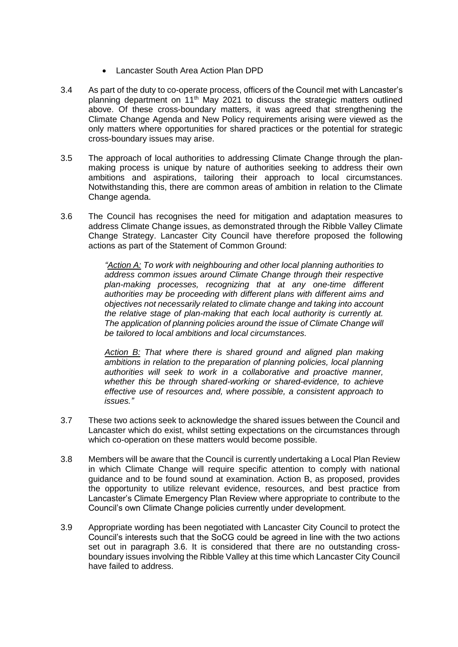- Lancaster South Area Action Plan DPD
- 3.4 As part of the duty to co-operate process, officers of the Council met with Lancaster's planning department on  $11<sup>th</sup>$  May 2021 to discuss the strategic matters outlined above. Of these cross-boundary matters, it was agreed that strengthening the Climate Change Agenda and New Policy requirements arising were viewed as the only matters where opportunities for shared practices or the potential for strategic cross-boundary issues may arise.
- 3.5 The approach of local authorities to addressing Climate Change through the planmaking process is unique by nature of authorities seeking to address their own ambitions and aspirations, tailoring their approach to local circumstances. Notwithstanding this, there are common areas of ambition in relation to the Climate Change agenda.
- 3.6 The Council has recognises the need for mitigation and adaptation measures to address Climate Change issues, as demonstrated through the Ribble Valley Climate Change Strategy. Lancaster City Council have therefore proposed the following actions as part of the Statement of Common Ground:

*"Action A: To work with neighbouring and other local planning authorities to address common issues around Climate Change through their respective plan-making processes, recognizing that at any one-time different authorities may be proceeding with different plans with different aims and objectives not necessarily related to climate change and taking into account the relative stage of plan-making that each local authority is currently at. The application of planning policies around the issue of Climate Change will be tailored to local ambitions and local circumstances.*

*Action B: That where there is shared ground and aligned plan making*  ambitions in relation to the preparation of planning policies, local planning *authorities will seek to work in a collaborative and proactive manner, whether this be through shared-working or shared-evidence, to achieve effective use of resources and, where possible, a consistent approach to issues."*

- 3.7 These two actions seek to acknowledge the shared issues between the Council and Lancaster which do exist, whilst setting expectations on the circumstances through which co-operation on these matters would become possible.
- 3.8 Members will be aware that the Council is currently undertaking a Local Plan Review in which Climate Change will require specific attention to comply with national guidance and to be found sound at examination. Action B, as proposed, provides the opportunity to utilize relevant evidence, resources, and best practice from Lancaster's Climate Emergency Plan Review where appropriate to contribute to the Council's own Climate Change policies currently under development.
- 3.9 Appropriate wording has been negotiated with Lancaster City Council to protect the Council's interests such that the SoCG could be agreed in line with the two actions set out in paragraph 3.6. It is considered that there are no outstanding crossboundary issues involving the Ribble Valley at this time which Lancaster City Council have failed to address.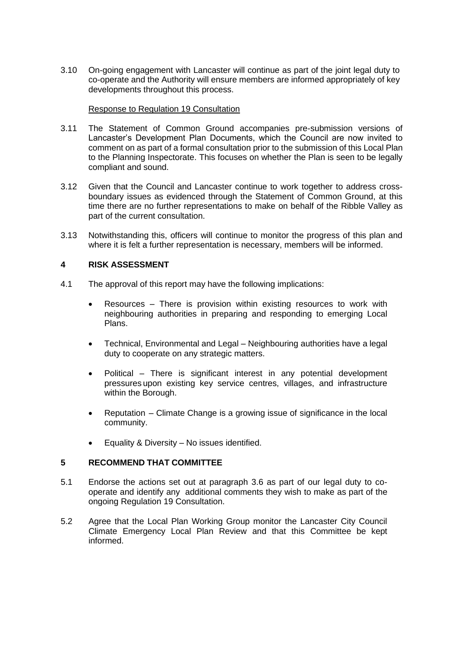3.10 On-going engagement with Lancaster will continue as part of the joint legal duty to co-operate and the Authority will ensure members are informed appropriately of key developments throughout this process.

#### Response to Regulation 19 Consultation

- 3.11 The Statement of Common Ground accompanies pre-submission versions of Lancaster's Development Plan Documents, which the Council are now invited to comment on as part of a formal consultation prior to the submission of this Local Plan to the Planning Inspectorate. This focuses on whether the Plan is seen to be legally compliant and sound.
- 3.12 Given that the Council and Lancaster continue to work together to address crossboundary issues as evidenced through the Statement of Common Ground, at this time there are no further representations to make on behalf of the Ribble Valley as part of the current consultation.
- 3.13 Notwithstanding this, officers will continue to monitor the progress of this plan and where it is felt a further representation is necessary, members will be informed.

## **4 RISK ASSESSMENT**

- 4.1 The approval of this report may have the following implications:
	- Resources There is provision within existing resources to work with neighbouring authorities in preparing and responding to emerging Local Plans.
	- Technical, Environmental and Legal Neighbouring authorities have a legal duty to cooperate on any strategic matters.
	- Political There is significant interest in any potential development pressures upon existing key service centres, villages, and infrastructure within the Borough.
	- Reputation Climate Change is a growing issue of significance in the local community.
	- Equality & Diversity No issues identified.

## **5 RECOMMEND THAT COMMITTEE**

- 5.1 Endorse the actions set out at paragraph 3.6 as part of our legal duty to cooperate and identify any additional comments they wish to make as part of the ongoing Regulation 19 Consultation.
- 5.2 Agree that the Local Plan Working Group monitor the Lancaster City Council Climate Emergency Local Plan Review and that this Committee be kept informed.